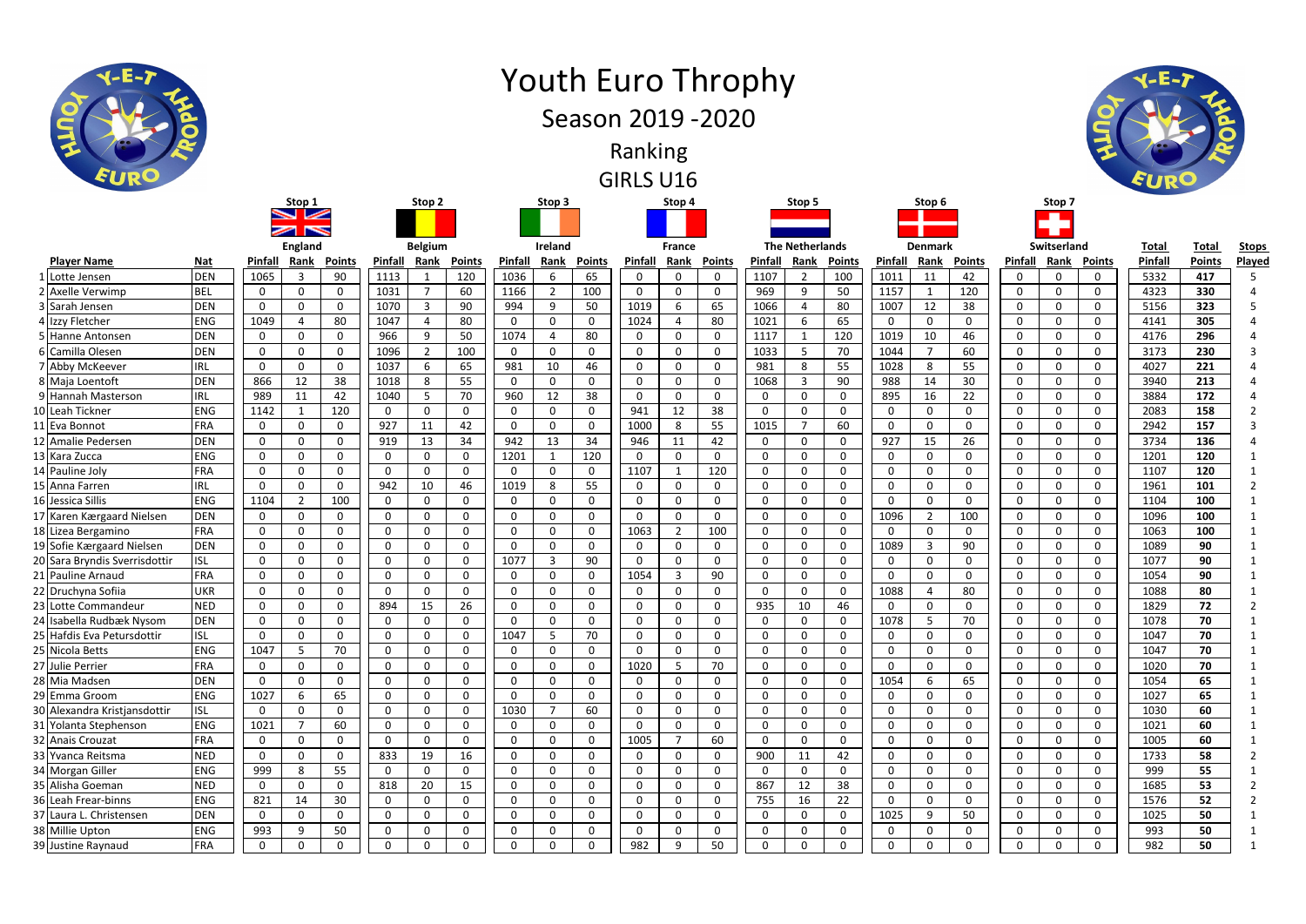|                               |            |              | <b>England</b> |               |              | <b>Belgium</b> |               |             | Ireland      |              |              | <b>France</b>  |              |              | <b>The Netherlands</b> |                |              | <b>Denmark</b> |              |              | Switserland |                    | <b>Total</b> | Total         | <u>Sto</u>     |
|-------------------------------|------------|--------------|----------------|---------------|--------------|----------------|---------------|-------------|--------------|--------------|--------------|----------------|--------------|--------------|------------------------|----------------|--------------|----------------|--------------|--------------|-------------|--------------------|--------------|---------------|----------------|
| <b>Player Name</b>            | <b>Nat</b> | Pinfall      | Rank           | <b>Points</b> | Pinfall      | Rank           | <b>Points</b> | Pinfall     | Rank         | Points       | Pinfall      | Rank           | Points       | Pinfall      | <b>Rank</b>            | <b>Points</b>  | Pinfall      | Rank           | Points       | Pinfall      |             | <b>Rank Points</b> | Pinfal       | <b>Points</b> | Play           |
| 1 Lotte Jensen                | <b>DEN</b> | 1065         | 3              | 90            | 1113         |                | 120           | 1036        | 6            | 65           | $\mathbf{0}$ | 0              | $\Omega$     | 1107         | 2                      | 100            | 1011         | 11             | 42           | 0            | $\Omega$    | 0                  | 5332         | 417           |                |
| 2 Axelle Verwimp              | <b>BEL</b> | 0            | 0              | 0             | 1031         |                | 60            | 1166        | -2           | 100          | 0            | 0              | 0            | 969          | 9                      | 50             | 1157         |                | 120          | 0            | $\Omega$    | 0                  | 4323         | 330           |                |
| 3 Sarah Jensen                | <b>DEN</b> | 0            | 0              | 0             | 1070         | 3              | 90            | 994         | 9            | 50           | 1019         | 6              | 65           | 1066         | 4                      | 80             | 1007         | 12             | 38           | 0            | $\Omega$    | 0                  | 5156         | 323           |                |
| 4 Izzy Fletcher               | <b>ENG</b> | 1049         |                | 80            | 1047         | Δ              | 80            | $\Omega$    | $\Omega$     | 0            | 1024         | -4             | 80           | 1021         | 6                      | 65             | 0            | 0              | $\Omega$     | 0            | $\Omega$    | 0                  | 4141         | 305           |                |
| 5 Hanne Antonsen              | <b>DEN</b> | $\mathbf{0}$ | 0              | 0             | 966          | 9              | 50            | 1074        | Δ            | 80           | $\mathbf{0}$ | 0              | 0            | 1117         |                        | 120            | 1019         | 10             | 46           | $\mathbf{0}$ | $\Omega$    | 0                  | 4176         | 296           |                |
| 6 Camilla Olesen              | <b>DEN</b> | 0            | 0              | $\mathbf 0$   | 1096         | $\overline{2}$ | 100           | $\Omega$    | O            | $\Omega$     | $\mathbf{0}$ | 0              | $\Omega$     | 1033         | 5                      | 70             | 1044         | 7              | 60           | 0            | $\Omega$    | 0                  | 3173         | 230           |                |
| 7 Abby McKeever               | <b>IRL</b> | 0            | 0              | 0             | 1037         | 6              | 65            | 981         | 10           | 46           | 0            | 0              | $\Omega$     | 981          | 8                      | 55             | 1028         | 8              | 55           | 0            | $\Omega$    | $\mathbf{0}$       | 4027         | 221           |                |
| 8 Maja Loentoft               | <b>DEN</b> | 866          | 12             | 38            | 1018         | 8              | 55            | $\Omega$    | O            | $\Omega$     | $\mathbf{0}$ | 0              | $\Omega$     | 1068         | 3                      | 90             | 988          | 14             | 30           | 0            | $\Omega$    | $\Omega$           | 3940         | 213           |                |
| 9 Hannah Masterson            | <b>IRL</b> | 989          | 11             | 42            | 1040         | 5              | 70            | 960         | 12           | 38           | 0            | 0              | $\Omega$     | $\mathbf 0$  | 0                      | $\mathbf 0$    | 895          | 16             | 22           | 0            | $\Omega$    | 0                  | 3884         | 172           |                |
| 10 Leah Tickner               | <b>ENG</b> | 1142         | $\overline{1}$ | 120           | $\Omega$     | 0              | $\mathbf 0$   | $\Omega$    | 0            | 0            | 941          | 12             | 38           | 0            | 0                      | $\mathbf 0$    | 0            | 0              | 0            | 0            | $\Omega$    | 0                  | 2083         | 158           |                |
| 11 Eva Bonnot                 | <b>FRA</b> | 0            | $\Omega$       | 0             | 927          | 11             | 42            | $\Omega$    | <sup>0</sup> | 0            | 1000         | 8              | 55           | 1015         | $\overline{7}$         | 60             | 0            | 0              | $\Omega$     | 0            | $\Omega$    | 0                  | 2942         | 157           |                |
| 12 Amalie Pedersen            | <b>DEN</b> | 0            | 0              | 0             | 919          | 13             | 34            | 942         | 13           | 34           | 946          | 11             | 42           | 0            | $\mathbf 0$            | $\mathbf 0$    | 927          | 15             | 26           | 0            | $\Omega$    | 0                  | 3734         | 136           |                |
| 13 Kara Zucca                 | <b>ENG</b> | 0            | 0              | 0             | $\Omega$     | 0              | $\mathbf 0$   | 1201        |              | 120          | $\mathbf{0}$ | $\mathbf{0}$   | 0            | $\Omega$     | 0                      | $\mathbf 0$    | 0            | $\Omega$       | $\Omega$     | 0            | $\Omega$    | 0                  | 1201         | 120           |                |
| 14 Pauline Joly               | <b>FRA</b> | 0            | 0              | 0             | 0            | 0              | $\mathbf 0$   | 0           | $\Omega$     | 0            | 1107         | -1             | 120          | 0            | 0                      | $\mathbf 0$    | 0            | 0              | $\mathbf{0}$ | $\mathbf{0}$ | $\Omega$    | 0                  | 1107         | 120           |                |
| 15 Anna Farren                | <b>IRL</b> | 0            | 0              | $\mathbf{0}$  | 942          | 10             | 46            | 1019        | 8            | 55           | 0            | $\Omega$       | 0            | $\Omega$     | 0                      | $\mathbf 0$    | $\Omega$     | 0              | $\Omega$     | 0            | $\Omega$    | $\mathbf{0}$       | 1961         | 101           |                |
| 16 Jessica Sillis             | <b>ENG</b> | 1104         | $\overline{2}$ | 100           | 0            | $\mathbf{0}$   | $\mathbf 0$   | $\Omega$    | O            | $\Omega$     | $\mathbf{0}$ | 0              | $\Omega$     | $\Omega$     | $\mathbf{0}$           | $\mathbf 0$    | $\Omega$     | 0              | $\mathbf{0}$ | 0            | $\Omega$    | $\mathbf{0}$       | 1104         | 100           |                |
| 17 Karen Kærgaard Nielsen     | <b>DEN</b> | 0            | 0              | 0             | $\Omega$     | $\mathbf{0}$   | $\mathbf 0$   | $\Omega$    | O            | $\Omega$     | 0            | $\mathbf{0}$   | $\Omega$     | $\mathbf{0}$ | 0                      | $\mathbf 0$    | 1096         | $\overline{2}$ | 100          | 0            | $\Omega$    | $\mathbf{0}$       | 1096         | 100           |                |
| 18 Lizea Bergamino            | <b>FRA</b> | 0            | $\Omega$       | $\mathbf{0}$  | $\Omega$     | 0              | $\mathbf 0$   | $\Omega$    | 0            | $\mathbf{0}$ | 1063         | $\overline{2}$ | 100          | $\mathbf 0$  | 0                      | $\mathbf 0$    | 0            | $\Omega$       | $\Omega$     | 0            | $\Omega$    | $\mathbf{0}$       | 1063         | 100           |                |
| 19 Sofie Kærgaard Nielsen     | <b>DEN</b> | 0            | 0              | 0             | $\mathbf{0}$ | 0              | $\mathbf 0$   | $\Omega$    | $\Omega$     | $\mathbf{0}$ | $\mathbf{0}$ | 0              | $\Omega$     | 0            | $\mathbf 0$            | $\mathbf 0$    | 1089         | 3              | 90           | 0            | $\Omega$    | $\Omega$           | 1089         | 90            |                |
| 20 Sara Bryndis Sverrisdottir | ISL        | 0            | 0              | $\mathbf{0}$  | 0            | 0              | $\mathbf 0$   | 1077        | 3            | 90           | 0            | $\mathbf{0}$   | $\Omega$     | 0            | 0                      | $\mathbf 0$    | $\Omega$     | 0              | $\mathbf{0}$ | 0            | $\Omega$    | 0                  | 1077         | 90            |                |
| 21 Pauline Arnaud             | <b>FRA</b> | 0            | 0              | $\mathbf{0}$  | 0            | 0              | $\mathbf 0$   | $\Omega$    |              | $\Omega$     | 1054         | $\overline{3}$ | 90           | 0            | 0                      | $\mathbf 0$    | $\Omega$     | $\Omega$       | $\Omega$     | $\Omega$     | $\Omega$    | 0                  | 1054         | 90            |                |
| 22 Druchyna Sofiia            | <b>UKR</b> | 0            | $\Omega$       | 0             | $\Omega$     | $\mathbf{0}$   | $\mathbf 0$   | $\Omega$    | O            | $\Omega$     | 0            | $\Omega$       | $\Omega$     | $\Omega$     | $\mathbf{0}$           | $\mathbf 0$    | 1088         | 4              | 80           | 0            | $\Omega$    | $\mathbf{0}$       | 1088         | 80            |                |
| 23 Lotte Commandeur           | <b>NED</b> | 0            | 0              | 0             | 894          | 15             | 26            | $\Omega$    | 0            | $\mathbf{0}$ | 0            | 0              | 0            | 935          | 10                     | 46             | 0            | 0              | $\mathbf{0}$ | 0            | $\Omega$    | 0                  | 1829         | 72            |                |
| 24 Isabella Rudbæk Nysom      | <b>DEN</b> | 0            | 0              | 0             | $\Omega$     | $\mathbf{0}$   | $\mathbf 0$   | $\Omega$    | ∩            | $\Omega$     | $\mathbf{0}$ | 0              | 0            | $\Omega$     | 0                      | $\mathbf 0$    | 1078         | 5              | 70           | 0            | $\Omega$    | $\mathbf{0}$       | 1078         | 70            |                |
| 25 Hafdis Eva Petursdottir    | ISL        | 0            | 0              | 0             | $\Omega$     | 0              | $\mathbf 0$   | 1047        |              | 70           | 0            | 0              | 0            | 0            | 0                      | $\mathbf{0}$   | 0            | 0              | $\Omega$     | 0            | $\Omega$    | 0                  | 1047         | 70            |                |
| 25 Nicola Betts               | <b>ENG</b> | 1047         | -5             | 70            | $\Omega$     | $\Omega$       | $\mathbf 0$   | $\Omega$    | <sup>n</sup> | $\Omega$     | $\mathbf{0}$ | $\Omega$       | $\Omega$     | $\Omega$     | 0                      | $\mathbf 0$    | $\Omega$     | $\Omega$       | $\Omega$     | 0            | $\Omega$    | $\mathbf{0}$       | 1047         | 70            |                |
| 27 Julie Perrier              | <b>FRA</b> | $\mathbf{0}$ | 0              | 0             | 0            | $\mathbf{0}$   | $\mathbf 0$   | $\Omega$    | $\Omega$     | $\Omega$     | 1020         | 5              | 70           | 0            | 0                      | $\mathbf 0$    | $\Omega$     | $\Omega$       | $\mathbf{0}$ | 0            | $\Omega$    | 0                  | 1020         | 70            |                |
| 28 Mia Madsen                 | <b>DEN</b> | 0            | $\mathbf 0$    | 0             | $\Omega$     | 0              | $\mathbf 0$   | $\Omega$    | O            | $\Omega$     | 0            | $\mathbf 0$    | $\Omega$     | 0            | 0                      | $\mathbf 0$    | 1054         | 6              | 65           | $\mathbf{0}$ | $\Omega$    | 0                  | 1054         | 65            |                |
| 29 Emma Groom                 | <b>ENG</b> | 1027         | 6              | 65            | 0            | 0              | $\mathbf 0$   | $\Omega$    | $\Omega$     | 0            | 0            | 0              | $\Omega$     | 0            | 0                      | $\mathbf 0$    | 0            | 0              | 0            | 0            | $\Omega$    | 0                  | 1027         | 65            |                |
| 30 Alexandra Kristjansdottir  | ISL        | 0            | 0              | $\mathbf{0}$  | $\mathbf 0$  | 0              | $\mathbf 0$   | 1030        |              | 60           | $\Omega$     | 0              | $\Omega$     | $\Omega$     | 0                      | $\mathbf 0$    | $\Omega$     | 0              | $\Omega$     | 0            | $\Omega$    | $\mathbf{0}$       | 1030         | 60            |                |
| 31 Yolanta Stephenson         | <b>ENG</b> | 1021         | - 7            | 60            | 0            | $\mathbf{0}$   | 0             | $\Omega$    | 0            | $\Omega$     | $\mathbf{0}$ | $\mathbf{0}$   | $\Omega$     | 0            | $\mathbf{0}$           | $\mathbf 0$    | $\Omega$     | 0              | $\Omega$     | $\Omega$     | $\Omega$    | 0                  | 1021         | 60            |                |
| 32 Anais Crouzat              | <b>FRA</b> | 0            | $\mathbf 0$    | 0             | 0            | $\mathbf 0$    | $\mathbf 0$   | 0           | 0            | $\mathbf 0$  | 1005         | $\overline{7}$ | 60           | $\mathbf 0$  | $\mathbf 0$            | $\mathbf 0$    | 0            | 0              | 0            | 0            | $\Omega$    | 0                  | 1005         | 60            |                |
| 33 Yvanca Reitsma             | <b>NED</b> | $\mathbf{0}$ | $\mathbf{0}$   | 0             | 833          | 19             | 16            | 0           | 0            | $\mathbf 0$  | 0            | $\mathbf 0$    | 0            | 900          | 11                     | 42             | $\mathbf 0$  | 0              | 0            | $\mathbf 0$  | 0           | $\mathbf{0}$       | 1733         | 58            | $\overline{2}$ |
| 34 Morgan Giller              | ENG        | 999          | 8              | 55            | $\mathbf 0$  | $\mathbf 0$    | $\mathbf 0$   | 0           | 0            | 0            | $\mathbf{0}$ | $\mathbf 0$    | $\mathsf{O}$ | $\mathbf 0$  | $\mathbf 0$            | $\overline{0}$ | $\mathbf 0$  | 0              | 0            | 0            | 0           | $\mathbf{0}$       | 999          | 55            |                |
| 35 Alisha Goeman              | <b>NED</b> | $\mathbf 0$  | 0              | $\mathbf{0}$  | 818          | 20             | 15            | $\Omega$    | $\Omega$     | $\mathbf{0}$ | 0            | $\mathbf 0$    | 0            | 867          | 12                     | 38             | $\mathbf 0$  | 0              | 0            | 0            | $\Omega$    | $\mathbf 0$        | 1685         | 53            | $\overline{2}$ |
| 36 Leah Frear-binns           | <b>ENG</b> | 821          | 14             | 30            | $\mathbf 0$  | $\mathbf{0}$   | $\mathbf 0$   | $\mathbf 0$ | 0            | 0            | $\mathbf{0}$ | 0              | 0            | 755          | 16                     | 22             | 0            | $\mathbf{0}$   | $\mathbf 0$  | 0            | 0           | $\mathbf{0}$       | 1576         | 52            | $\overline{2}$ |
| 37 Laura L. Christensen       | <b>DEN</b> | $\mathbf 0$  | 0              | 0             | $\mathbf 0$  | $\mathbf 0$    | $\mathbf 0$   | $\mathbf 0$ | $\Omega$     | 0            | 0            | $\mathbf 0$    | 0            | $\mathbf 0$  | $\mathbf 0$            | $\mathbf 0$    | 1025         | 9              | 50           | $\mathbf 0$  | 0           | $\mathbf 0$        | 1025         | 50            |                |
| 38 Millie Upton               | <b>ENG</b> | 993          | 9              | 50            | $\mathbf 0$  | $\mathbf 0$    | $\mathbf 0$   | 0           | 0            | $\mathbf 0$  | 0            | $\mathbf 0$    | 0            | $\mathbf 0$  | $\mathbf 0$            | $\mathbf 0$    | $\mathbf{0}$ | 0              | $\mathbf 0$  | $\mathbf 0$  | 0           | $\mathbf{0}$       | 993          | 50            | 1              |
| 39 Justine Raynaud            | <b>FRA</b> | $\mathbf 0$  | $\mathbf 0$    | $\mathbf 0$   | $\mathbf 0$  | $\mathbf 0$    | $\mathbf 0$   | $\mathbf 0$ | 0            | $\mathbf 0$  | 982          | 9              | 50           | $\mathbf 0$  | $\mathbf 0$            | $\mathbf 0$    | $\mathbf 0$  | 0              | $\mathbf 0$  | $\mathbf 0$  | $\Omega$    | $\mathbf 0$        | 982          | 50            |                |





**Stop 1**

**Stop 3**

**Stop 2**

GIRLS U16

## Youth Euro Throphy Season 2019 -2020

Ranking





**Total Points Stops Played Pinfall**



**Stop 4**